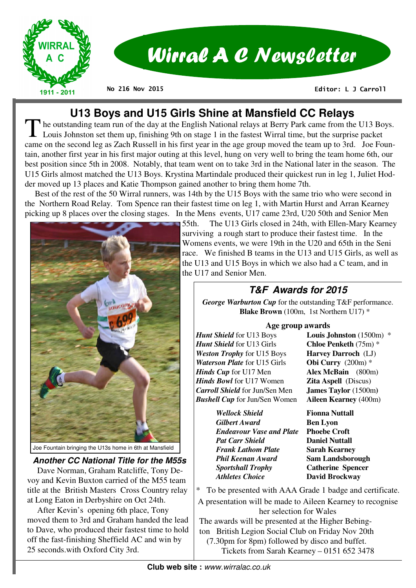

# Wirral A C Newsletter

**No 216 Nov 2015** 

 **Editor: L J Carroll** 

# **U13 Boys and U15 Girls Shine at Mansfield CC Relays**

The outstanding team run of the day at the English National relays at Berry Park came from the U13 Boys.<br>Louis Johnston set them up, finishing 9th on stage 1 in the fastest Wirral time, but the surprise packet came on the second leg as Zach Russell in his first year in the age group moved the team up to 3rd. Joe Fountain, another first year in his first major outing at this level, hung on very well to bring the team home 6th, our best position since 5th in 2008. Notably, that team went on to take 3rd in the National later in the season. The U15 Girls almost matched the U13 Boys. Krystina Martindale produced their quickest run in leg 1, Juliet Hodder moved up 13 places and Katie Thompson gained another to bring them home 7th.

 Best of the rest of the 50 Wirral runners, was 14th by the U15 Boys with the same trio who were second in the Northern Road Relay. Tom Spence ran their fastest time on leg 1, with Martin Hurst and Arran Kearney picking up 8 places over the closing stages. In the Mens events, U17 came 23rd, U20 50th and Senior Men



#### **Another CC National Title for the M55s**

 Dave Norman, Graham Ratcliffe, Tony Devoy and Kevin Buxton carried of the M55 team title at the British Masters Cross Country relay at Long Eaton in Derbyshire on Oct 24th.

 After Kevin's opening 6th place, Tony moved them to 3rd and Graham handed the lead to Dave, who produced their fastest time to hold off the fast-finishing Sheffield AC and win by 25 seconds.with Oxford City 3rd.

55th. The U13 Girls closed in 24th, with Ellen-Mary Kearney surviving a rough start to produce their fastest time. In the Womens events, we were 19th in the U20 and 65th in the Seni race. We finished B teams in the U13 and U15 Girls, as well as the U13 and U15 Boys in which we also had a C team, and in the U17 and Senior Men.

# **T&F Awards for 2015**

*George Warburton Cup* for the outstanding T&F performance. **Blake Brown** (100m, 1st Northern U17) \*

#### **Age group awards**

*Hunt Shield* for U13 Boys **Louis Johnston** (1500m) \* *Hunt Shield* for U13 Girls **Chloe Penketh** (75m) \* *Weston Trophy* for U15 Boys **Harvey Darroch** (LJ) *Waterson Plate* for U15 Girls **Obi Curry** (200m) \* *Hinds Cup* for U17 Men **Alex McBain** (800m) *Hinds Bowl* for U17 Women **Zita Aspell** (Discus) *Carroll Shield* for Jun/Sen Men **James Taylor** (1500m**)** *Bushell Cup* for Jun/Sen Women **Aileen Kearney** (400m)

 *Wellock Shield* **Fionna Nuttall** *Gilbert Award* **Ben Lyon**  *Endeavour Vase and Plate* **Phoebe Croft**  *Pat Carr Shield* **Daniel Nuttall**  *Frank Lathom Plate* **Sarah Kearney** *Phil Keenan Award* **Sam Landsborough** *Sportshall Trophy* **Catherine Spencer** 

*Athletes Choice* **David Brockway** 

To be presented with AAA Grade 1 badge and certificate.

A presentation will be made to Aileen Kearney to recognise her selection for Wales

The awards will be presented at the Higher Bebington British Legion Social Club on Friday Nov 20th (7.30pm for 8pm) followed by disco and buffet. Tickets from Sarah Kearney – 0151 652 3478